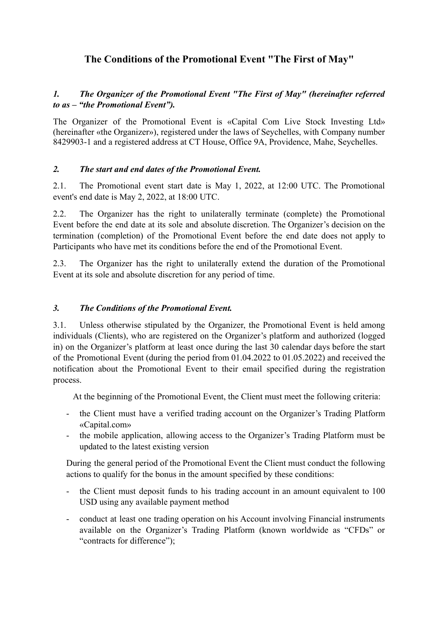# **The Conditions of the Promotional Event "The First of May"**

## *1. The Organizer of the Promotional Event "The First of May" (hereinafter referred to as – "the Promotional Event").*

The Organizer of the Promotional Event is «Capital Com Live Stock Investing Ltd» (hereinafter «the Organizer»), registered under the laws of Seychelles, with Company number 8429903-1 and a registered address at CT House, Office 9A, Providence, Mahe, Seychelles.

#### *2. The start and end dates of the Promotional Event.*

2.1. The Promotional event start date is May 1, 2022, at 12:00 UTC. The Promotional event's end date is May 2, 2022, at 18:00 UTC.

2.2. The Organizer has the right to unilaterally terminate (complete) the Promotional Event before the end date at its sole and absolute discretion. The Organizer's decision on the termination (completion) of the Promotional Event before the end date does not apply to Participants who have met its conditions before the end of the Promotional Event.

2.3. The Organizer has the right to unilaterally extend the duration of the Promotional Event at its sole and absolute discretion for any period of time.

#### *3. The Conditions of the Promotional Event.*

3.1. Unless otherwise stipulated by the Organizer, the Promotional Event is held among individuals (Clients), who are registered on the Organizer's platform and authorized (logged in) on the Organizer's platform at least once during the last 30 calendar days before the start of the Promotional Event (during the period from 01.04.2022 to 01.05.2022) and received the notification about the Promotional Event to their email specified during the registration process.

At the beginning of the Promotional Event, the Client must meet the following criteria:

- the Client must have a verified trading account on the Organizer's Trading Platform «Capital.com»
- the mobile application, allowing access to the Organizer's Trading Platform must be updated to the latest existing version

During the general period of the Promotional Event the Client must conduct the following actions to qualify for the bonus in the amount specified by these conditions:

- the Client must deposit funds to his trading account in an amount equivalent to 100 USD using any available payment method
- conduct at least one trading operation on his Account involving Financial instruments available on the Organizer's Trading Platform (known worldwide as "CFDs" or "contracts for difference");